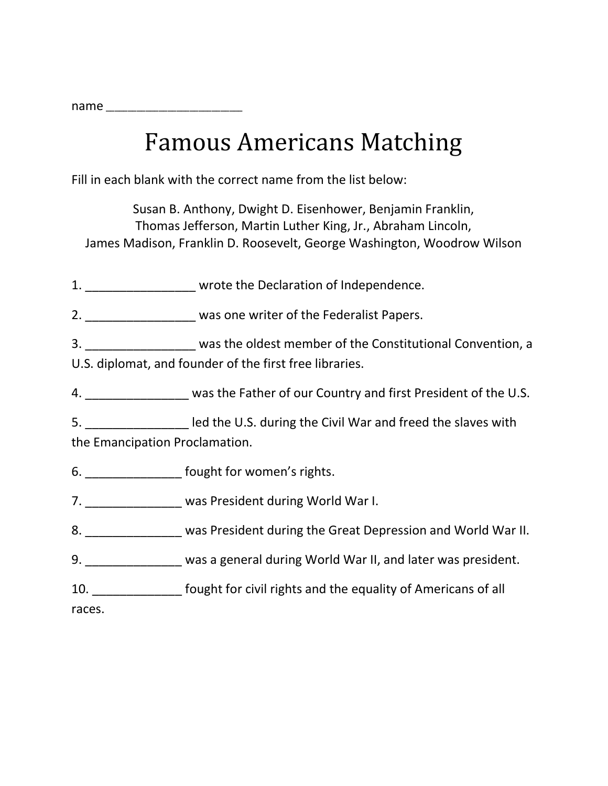| name |  |
|------|--|
|------|--|

## Famous Americans Matching

Fill in each blank with the correct name from the list below:

Susan B. Anthony, Dwight D. Eisenhower, Benjamin Franklin, Thomas Jefferson, Martin Luther King, Jr., Abraham Lincoln, James Madison, Franklin D. Roosevelt, George Washington, Woodrow Wilson

1. \_\_\_\_\_\_\_\_\_\_\_\_\_\_\_\_ wrote the Declaration of Independence.

2. \_\_\_\_\_\_\_\_\_\_\_\_\_\_\_\_ was one writer of the Federalist Papers.

3. \_\_\_\_\_\_\_\_\_\_\_\_\_\_\_\_ was the oldest member of the Constitutional Convention, a U.S. diplomat, and founder of the first free libraries.

4. \_\_\_\_\_\_\_\_\_\_\_\_\_\_\_ was the Father of our Country and first President of the U.S.

5. \_\_\_\_\_\_\_\_\_\_\_\_\_\_\_ led the U.S. during the Civil War and freed the slaves with the Emancipation Proclamation.

6. \_\_\_\_\_\_\_\_\_\_\_\_\_\_ fought for women's rights.

- 7. \_\_\_\_\_\_\_\_\_\_\_\_\_\_ was President during World War I.
- 8. **Example 3 was President during the Great Depression and World War II.**
- 9. \_\_\_\_\_\_\_\_\_\_\_\_\_\_\_ was a general during World War II, and later was president.
- 10. \_\_\_\_\_\_\_\_\_\_\_\_\_ fought for civil rights and the equality of Americans of all

races.